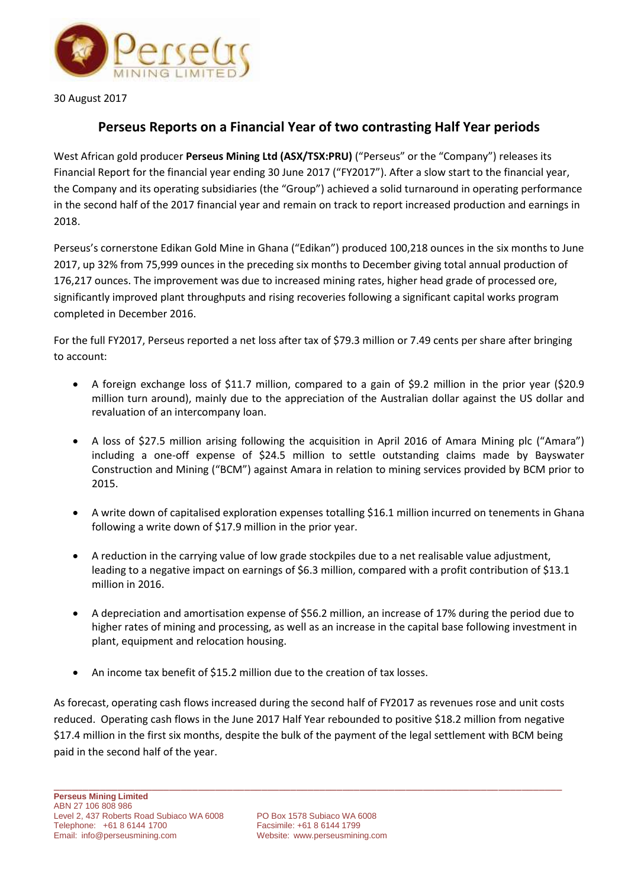

30 August 2017

## **Perseus Reports on a Financial Year of two contrasting Half Year periods**

West African gold producer **Perseus Mining Ltd (ASX/TSX:PRU)** ("Perseus" or the "Company") releases its Financial Report for the financial year ending 30 June 2017 ("FY2017"). After a slow start to the financial year, the Company and its operating subsidiaries (the "Group") achieved a solid turnaround in operating performance in the second half of the 2017 financial year and remain on track to report increased production and earnings in 2018.

Perseus's cornerstone Edikan Gold Mine in Ghana ("Edikan") produced 100,218 ounces in the six months to June 2017, up 32% from 75,999 ounces in the preceding six months to December giving total annual production of 176,217 ounces. The improvement was due to increased mining rates, higher head grade of processed ore, significantly improved plant throughputs and rising recoveries following a significant capital works program completed in December 2016.

For the full FY2017, Perseus reported a net loss after tax of \$79.3 million or 7.49 cents per share after bringing to account:

- A foreign exchange loss of \$11.7 million, compared to a gain of \$9.2 million in the prior year (\$20.9 million turn around), mainly due to the appreciation of the Australian dollar against the US dollar and revaluation of an intercompany loan.
- A loss of \$27.5 million arising following the acquisition in April 2016 of Amara Mining plc ("Amara") including a one-off expense of \$24.5 million to settle outstanding claims made by Bayswater Construction and Mining ("BCM") against Amara in relation to mining services provided by BCM prior to 2015.
- A write down of capitalised exploration expenses totalling \$16.1 million incurred on tenements in Ghana following a write down of \$17.9 million in the prior year.
- A reduction in the carrying value of low grade stockpiles due to a net realisable value adjustment, leading to a negative impact on earnings of \$6.3 million, compared with a profit contribution of \$13.1 million in 2016.
- A depreciation and amortisation expense of \$56.2 million, an increase of 17% during the period due to higher rates of mining and processing, as well as an increase in the capital base following investment in plant, equipment and relocation housing.
- An income tax benefit of \$15.2 million due to the creation of tax losses.

As forecast, operating cash flows increased during the second half of FY2017 as revenues rose and unit costs reduced. Operating cash flows in the June 2017 Half Year rebounded to positive \$18.2 million from negative \$17.4 million in the first six months, despite the bulk of the payment of the legal settlement with BCM being paid in the second half of the year.

\_\_\_\_\_\_\_\_\_\_\_\_\_\_\_\_\_\_\_\_\_\_\_\_\_\_\_\_\_\_\_\_\_\_\_\_\_\_\_\_\_\_\_\_\_\_\_\_\_\_\_\_\_\_\_\_\_\_\_\_\_\_\_\_\_\_\_\_\_\_\_\_\_\_\_\_\_\_\_\_\_\_\_\_\_\_\_\_

Website: [www.perseusmining.com](http://www.perseusmining.com/)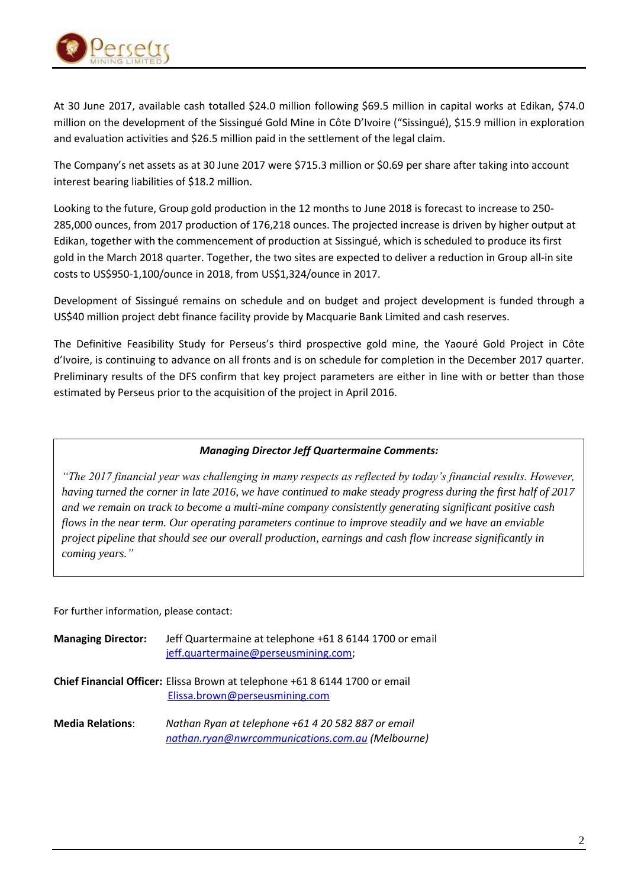

At 30 June 2017, available cash totalled \$24.0 million following \$69.5 million in capital works at Edikan, \$74.0 million on the development of the Sissingué Gold Mine in Côte D'Ivoire ("Sissingué), \$15.9 million in exploration and evaluation activities and \$26.5 million paid in the settlement of the legal claim.

The Company's net assets as at 30 June 2017 were \$715.3 million or \$0.69 per share after taking into account interest bearing liabilities of \$18.2 million.

Looking to the future, Group gold production in the 12 months to June 2018 is forecast to increase to 250- 285,000 ounces, from 2017 production of 176,218 ounces. The projected increase is driven by higher output at Edikan, together with the commencement of production at Sissingué, which is scheduled to produce its first gold in the March 2018 quarter. Together, the two sites are expected to deliver a reduction in Group all-in site costs to US\$950-1,100/ounce in 2018, from US\$1,324/ounce in 2017.

Development of Sissingué remains on schedule and on budget and project development is funded through a US\$40 million project debt finance facility provide by Macquarie Bank Limited and cash reserves.

The Definitive Feasibility Study for Perseus's third prospective gold mine, the Yaouré Gold Project in Côte d'Ivoire, is continuing to advance on all fronts and is on schedule for completion in the December 2017 quarter. Preliminary results of the DFS confirm that key project parameters are either in line with or better than those estimated by Perseus prior to the acquisition of the project in April 2016.

## *Managing Director Jeff Quartermaine Comments:*

*"The 2017 financial year was challenging in many respects as reflected by today's financial results. However, having turned the corner in late 2016, we have continued to make steady progress during the first half of 2017 and we remain on track to become a multi-mine company consistently generating significant positive cash flows in the near term. Our operating parameters continue to improve steadily and we have an enviable project pipeline that should see our overall production, earnings and cash flow increase significantly in coming years."*

For further information, please contact:

| <b>Managing Director:</b> | Jeff Quartermaine at telephone +61 8 6144 1700 or email<br>jeff.quartermaine@perseusmining.com;               |
|---------------------------|---------------------------------------------------------------------------------------------------------------|
|                           | Chief Financial Officer: Elissa Brown at telephone +61 8 6144 1700 or email<br>Elissa.brown@perseusmining.com |
| <b>Media Relations:</b>   | Nathan Ryan at telephone +61 4 20 582 887 or email<br>nathan.ryan@nwrcommunications.com.au (Melbourne)        |